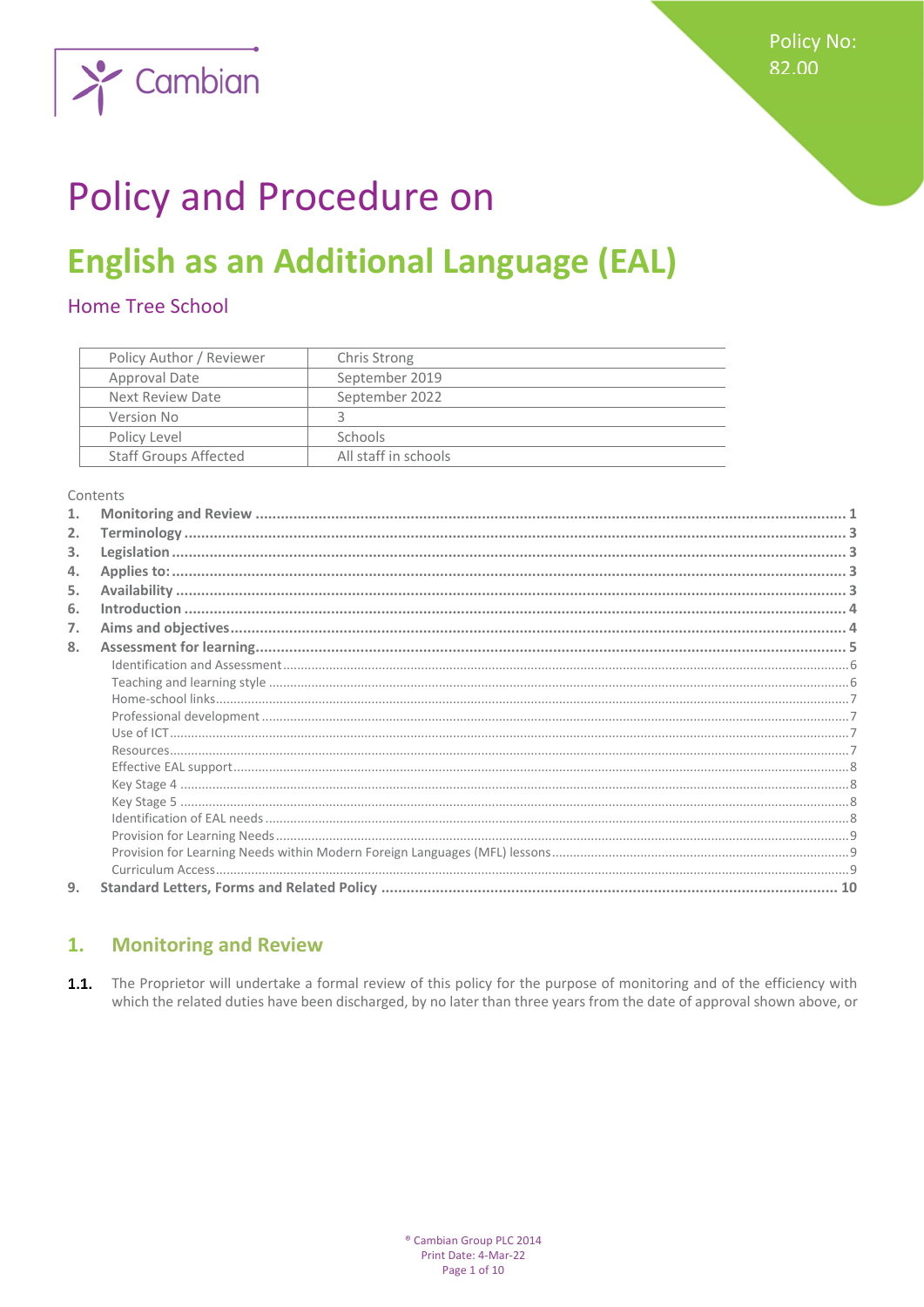

# **Policy and Procedure on**

## **English as an Additional Language (EAL)**

## Home Tree School

| Policy Author / Reviewer     | Chris Strong         |
|------------------------------|----------------------|
| Approval Date                | September 2019       |
| Next Review Date             | September 2022       |
| Version No                   |                      |
| Policy Level                 | <b>Schools</b>       |
| <b>Staff Groups Affected</b> | All staff in schools |
|                              |                      |

Contents

#### <span id="page-0-0"></span>**Monitoring and Review** 1.

 $1.1.$ The Proprietor will undertake a formal review of this policy for the purpose of monitoring and of the efficiency with which the related duties have been discharged, by no later than three years from the date of approval shown above, or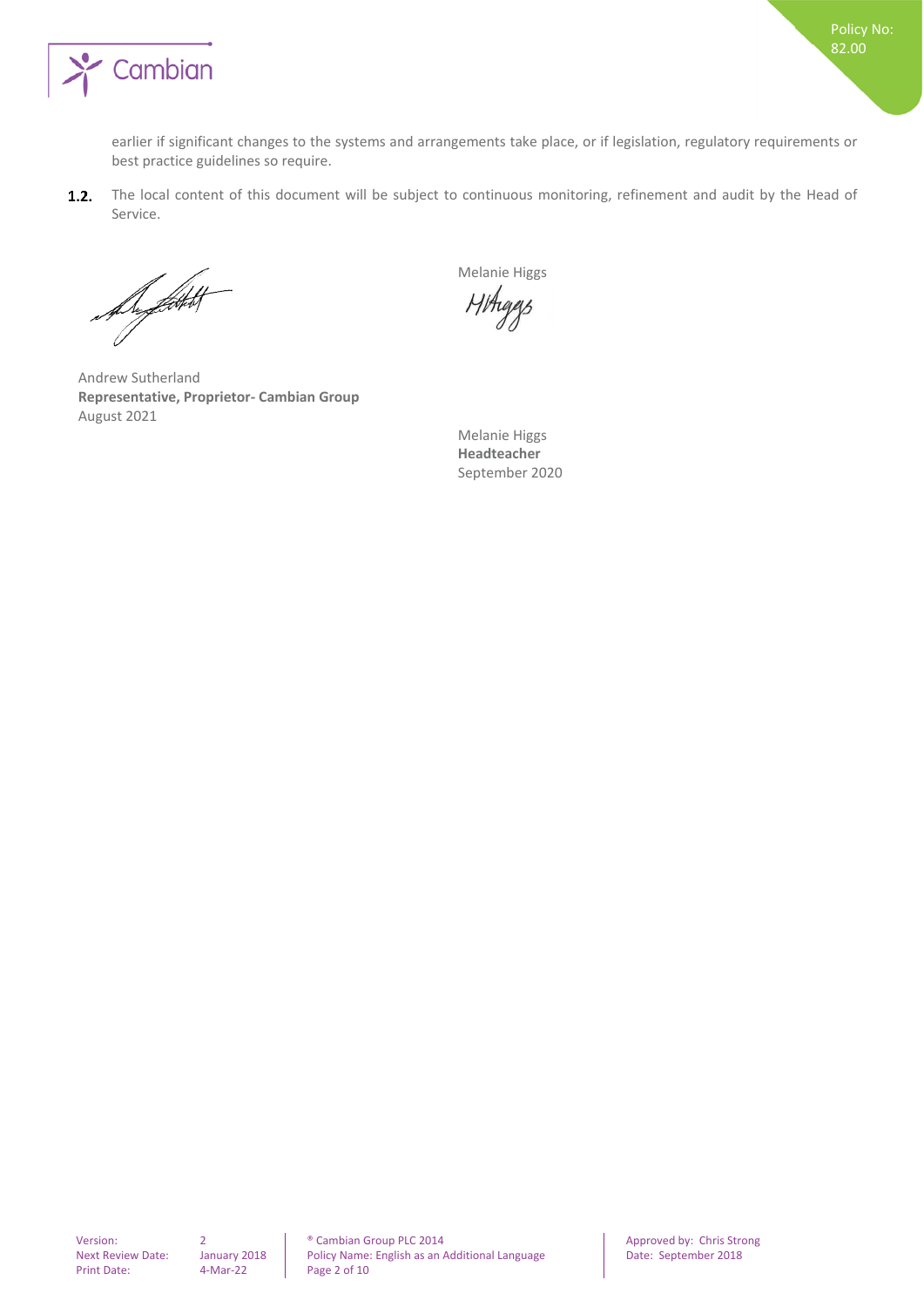

earlier if significant changes to the systems and arrangements take place, or if legislation, regulatory requirements or best practice guidelines so require.

The local content of this document will be subject to continuous monitoring, refinement and audit by the Head of  $1.2.$ Service.

Superfield by

Andrew Sutherland **Representative, Proprietor- Cambian Group** August 2021

Melanie Higgs

HHiggs

Melanie Higgs **Headteacher** September 2020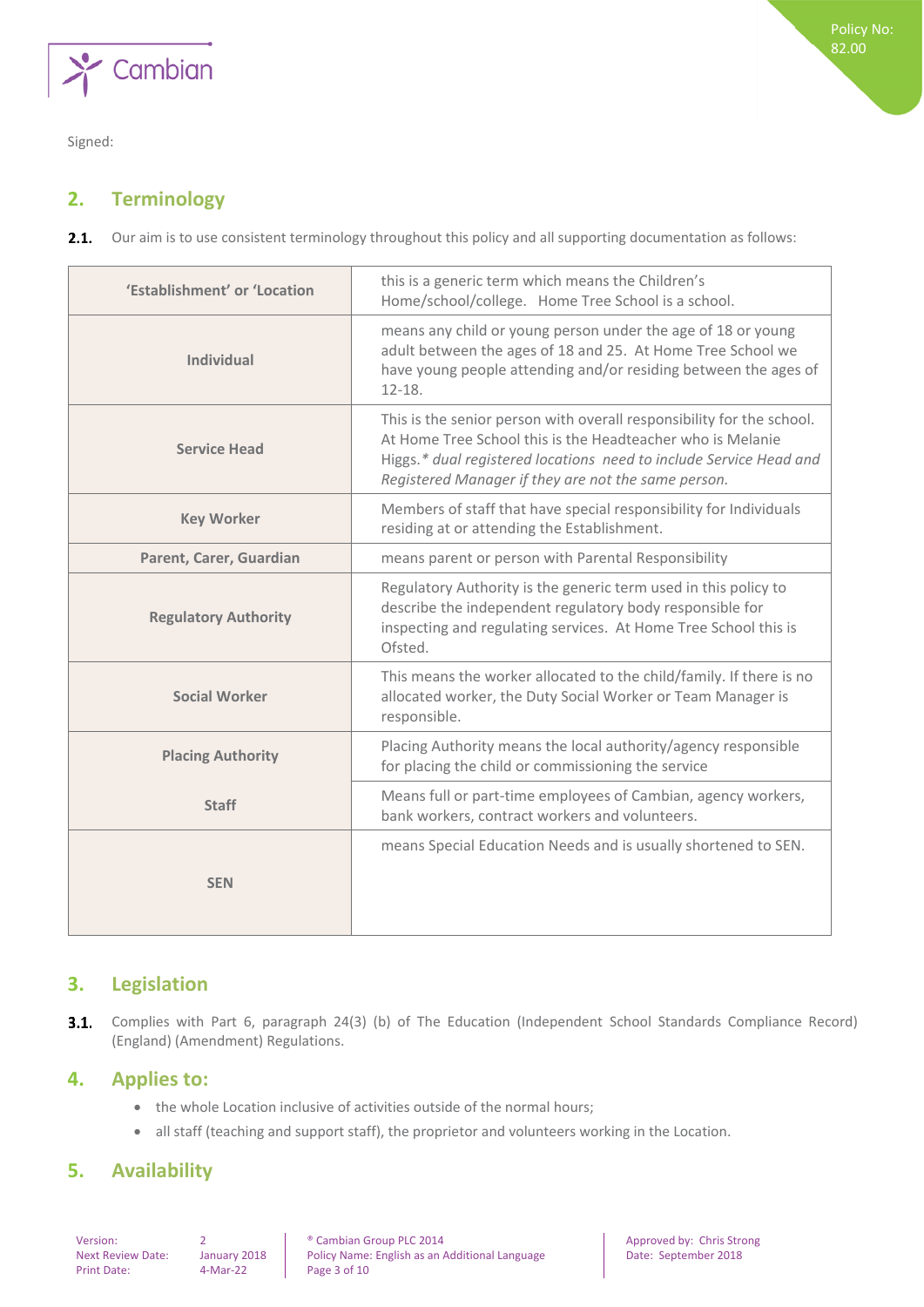

Signed:

## <span id="page-2-0"></span>**2. Terminology**

 $2.1.$ Our aim is to use consistent terminology throughout this policy and all supporting documentation as follows:

| 'Establishment' or 'Location | this is a generic term which means the Children's<br>Home/school/college. Home Tree School is a school.                                                                                                                                                          |
|------------------------------|------------------------------------------------------------------------------------------------------------------------------------------------------------------------------------------------------------------------------------------------------------------|
| Individual                   | means any child or young person under the age of 18 or young<br>adult between the ages of 18 and 25. At Home Tree School we<br>have young people attending and/or residing between the ages of<br>$12 - 18$ .                                                    |
| <b>Service Head</b>          | This is the senior person with overall responsibility for the school.<br>At Home Tree School this is the Headteacher who is Melanie<br>Higgs.* dual registered locations need to include Service Head and<br>Registered Manager if they are not the same person. |
| <b>Key Worker</b>            | Members of staff that have special responsibility for Individuals<br>residing at or attending the Establishment.                                                                                                                                                 |
| Parent, Carer, Guardian      | means parent or person with Parental Responsibility                                                                                                                                                                                                              |
| <b>Regulatory Authority</b>  | Regulatory Authority is the generic term used in this policy to<br>describe the independent regulatory body responsible for<br>inspecting and regulating services. At Home Tree School this is<br>Ofsted.                                                        |
| <b>Social Worker</b>         | This means the worker allocated to the child/family. If there is no<br>allocated worker, the Duty Social Worker or Team Manager is<br>responsible.                                                                                                               |
| <b>Placing Authority</b>     | Placing Authority means the local authority/agency responsible<br>for placing the child or commissioning the service                                                                                                                                             |
| <b>Staff</b>                 | Means full or part-time employees of Cambian, agency workers,<br>bank workers, contract workers and volunteers.                                                                                                                                                  |
| <b>SEN</b>                   | means Special Education Needs and is usually shortened to SEN.                                                                                                                                                                                                   |

## <span id="page-2-1"></span>**3. Legislation**

 $3.1.$ Complies with Part 6, paragraph 24(3) (b) of The Education (Independent School Standards Compliance Record) (England) (Amendment) Regulations.

## <span id="page-2-2"></span>**4. Applies to:**

- the whole Location inclusive of activities outside of the normal hours;
- <span id="page-2-3"></span>• all staff (teaching and support staff), the proprietor and volunteers working in the Location.

## **5. Availability**

Print Date: 4-Mar-22 Page 3 of 10

Version: 2 2 <sup>®</sup> Cambian Group PLC 2014 <br>Next Review Date: January 2018 Policy Name: English as an Additional Language Date: September 2018 Policy Name: English as an Additional Language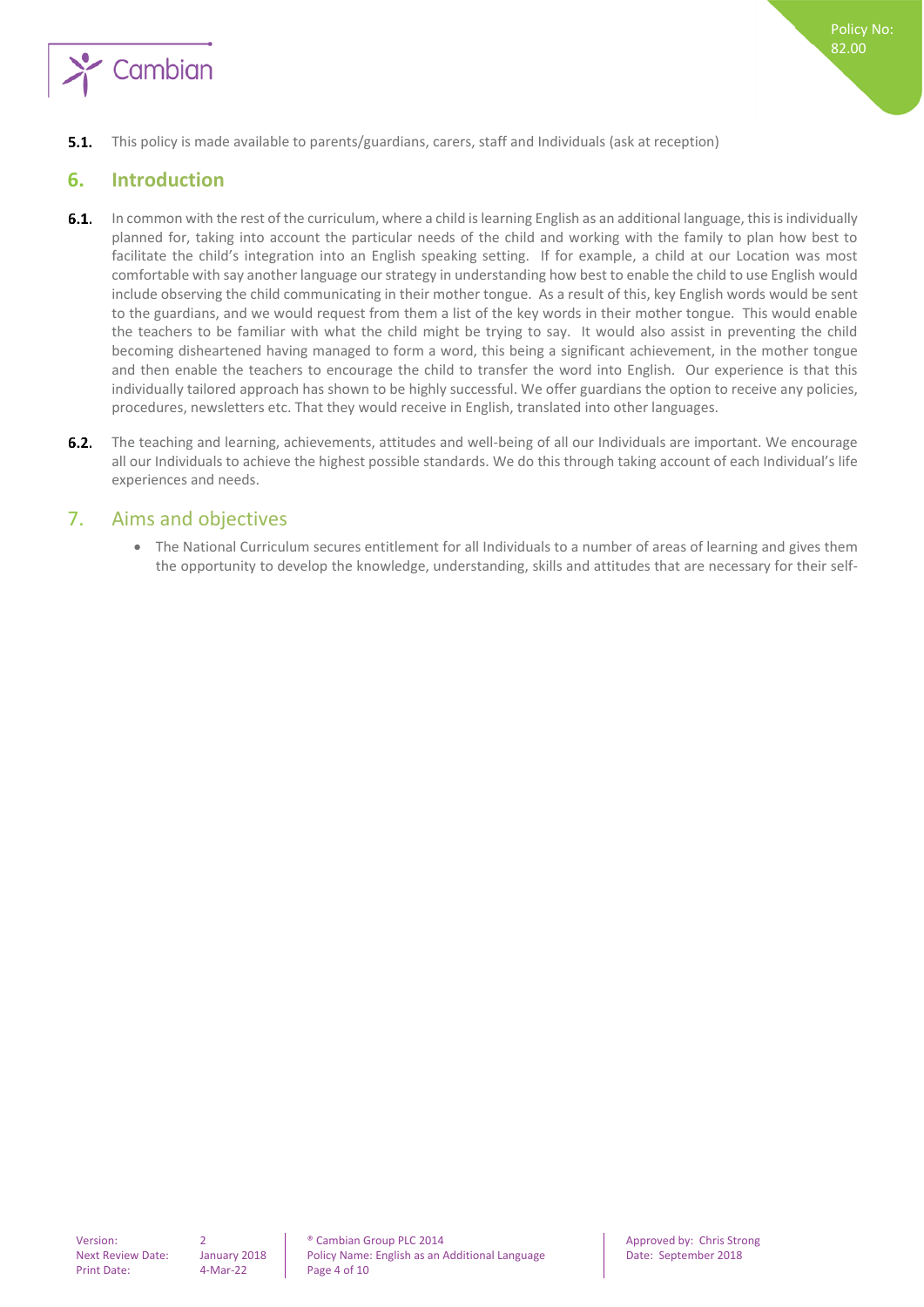

 $5.1.$ This policy is made available to parents/guardians, carers, staff and Individuals (ask at reception)

## <span id="page-3-0"></span>**6. Introduction**

- $6.1.$ In common with the rest of the curriculum, where a child is learning English as an additional language, this is individually planned for, taking into account the particular needs of the child and working with the family to plan how best to facilitate the child's integration into an English speaking setting. If for example, a child at our Location was most comfortable with say another language our strategy in understanding how best to enable the child to use English would include observing the child communicating in their mother tongue. As a result of this, key English words would be sent to the guardians, and we would request from them a list of the key words in their mother tongue. This would enable the teachers to be familiar with what the child might be trying to say. It would also assist in preventing the child becoming disheartened having managed to form a word, this being a significant achievement, in the mother tongue and then enable the teachers to encourage the child to transfer the word into English. Our experience is that this individually tailored approach has shown to be highly successful. We offer guardians the option to receive any policies, procedures, newsletters etc. That they would receive in English, translated into other languages.
- $6.2.$ The teaching and learning, achievements, attitudes and well-being of all our Individuals are important. We encourage all our Individuals to achieve the highest possible standards. We do this through taking account of each Individual's life experiences and needs.

### <span id="page-3-1"></span>7. Aims and objectives

• The National Curriculum secures entitlement for all Individuals to a number of areas of learning and gives them the opportunity to develop the knowledge, understanding, skills and attitudes that are necessary for their self-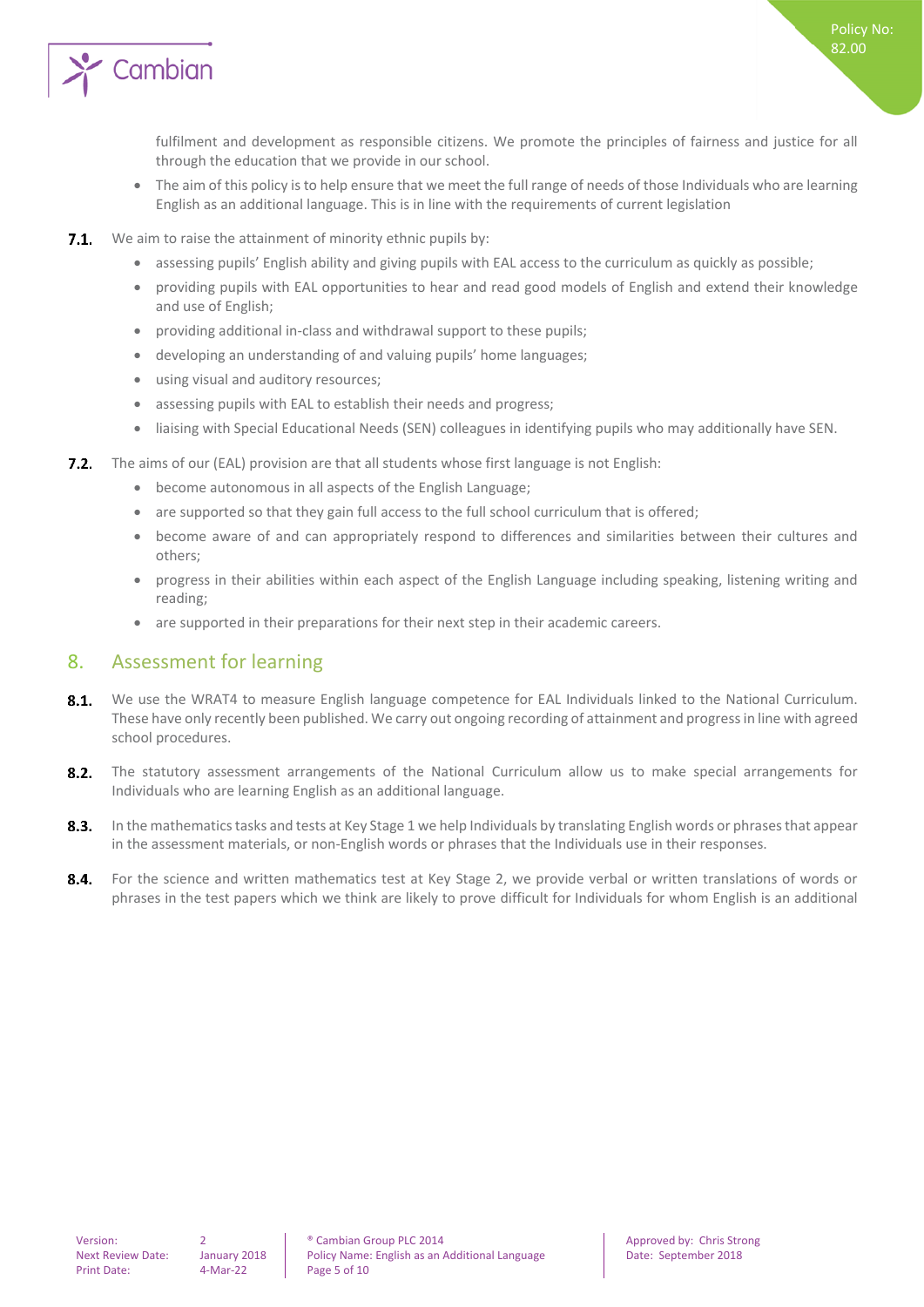

fulfilment and development as responsible citizens. We promote the principles of fairness and justice for all through the education that we provide in our school.

- The aim of this policy is to help ensure that we meet the full range of needs of those Individuals who are learning English as an additional language. This is in line with the requirements of current legislation
- **7.1.** We aim to raise the attainment of minority ethnic pupils by:
	- assessing pupils' English ability and giving pupils with EAL access to the curriculum as quickly as possible;
	- providing pupils with EAL opportunities to hear and read good models of English and extend their knowledge and use of English;
	- providing additional in-class and withdrawal support to these pupils;
	- developing an understanding of and valuing pupils' home languages;
	- using visual and auditory resources;
	- assessing pupils with EAL to establish their needs and progress;
	- liaising with Special Educational Needs (SEN) colleagues in identifying pupils who may additionally have SEN.
- **7.2.** The aims of our (EAL) provision are that all students whose first language is not English:
	- become autonomous in all aspects of the English Language;
	- are supported so that they gain full access to the full school curriculum that is offered;
	- become aware of and can appropriately respond to differences and similarities between their cultures and others;
	- progress in their abilities within each aspect of the English Language including speaking, listening writing and reading;
	- are supported in their preparations for their next step in their academic careers.

## <span id="page-4-0"></span>8. Assessment for learning

- $8.1.$ We use the WRAT4 to measure English language competence for EAL Individuals linked to the National Curriculum. These have only recently been published. We carry out ongoing recording of attainment and progress in line with agreed school procedures.
- $8.2.$ The statutory assessment arrangements of the National Curriculum allow us to make special arrangements for Individuals who are learning English as an additional language.
- $8.3.$ In the mathematics tasks and tests at Key Stage 1 we help Individuals by translating English words or phrases that appear in the assessment materials, or non-English words or phrases that the Individuals use in their responses.
- $8.4.$ For the science and written mathematics test at Key Stage 2, we provide verbal or written translations of words or phrases in the test papers which we think are likely to prove difficult for Individuals for whom English is an additional

Version: 2 **2 8** Cambian Group PLC 2014 **Approved by: Chris Strong Approved by: Chris Strong** Next Review Date: January 2018 | Policy Name: English as an Additional Language | Date: September 2018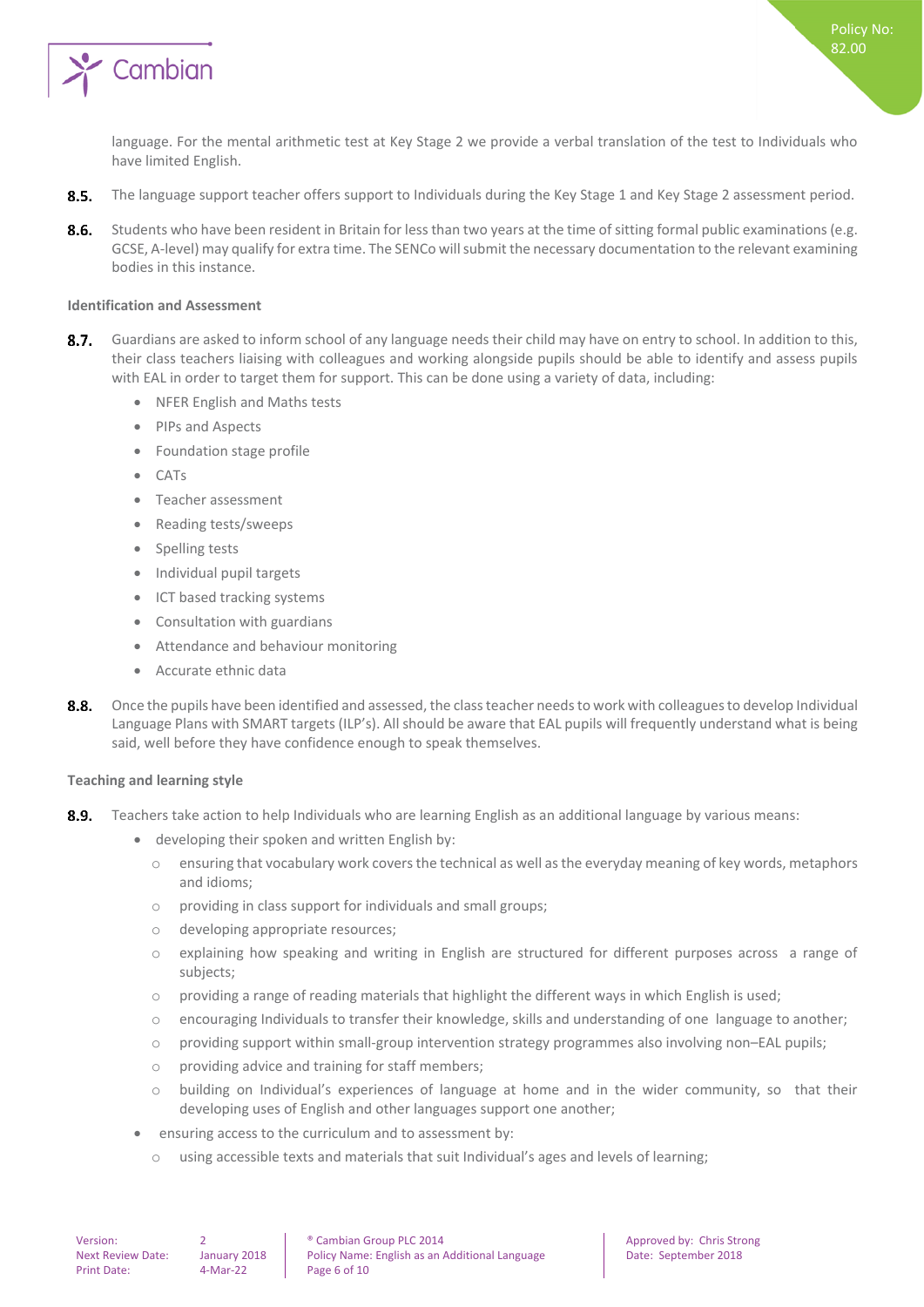

language. For the mental arithmetic test at Key Stage 2 we provide a verbal translation of the test to Individuals who have limited English.

- $8.5.$ The language support teacher offers support to Individuals during the Key Stage 1 and Key Stage 2 assessment period.
- $8.6.$ Students who have been resident in Britain for less than two years at the time of sitting formal public examinations (e.g. GCSE, A-level) may qualify for extra time. The SENCo will submit the necessary documentation to the relevant examining bodies in this instance.

#### <span id="page-5-0"></span>**Identification and Assessment**

- $8.7.$ Guardians are asked to inform school of any language needs their child may have on entry to school. In addition to this, their class teachers liaising with colleagues and working alongside pupils should be able to identify and assess pupils with EAL in order to target them for support. This can be done using a variety of data, including:
	- NFER English and Maths tests
	- PIPs and Aspects
	- Foundation stage profile
	- **CATs**
	- Teacher assessment
	- Reading tests/sweeps
	- Spelling tests
	- Individual pupil targets
	- ICT based tracking systems
	- Consultation with guardians
	- Attendance and behaviour monitoring
	- Accurate ethnic data
- $8.8.$ Once the pupils have been identified and assessed, the class teacher needs to work with colleagues to develop Individual Language Plans with SMART targets (ILP's). All should be aware that EAL pupils will frequently understand what is being said, well before they have confidence enough to speak themselves.

#### <span id="page-5-1"></span>**Teaching and learning style**

- 8.9. Teachers take action to help Individuals who are learning English as an additional language by various means:
	- developing their spoken and written English by:
		- o ensuring that vocabulary work covers the technical as well as the everyday meaning of key words, metaphors and idioms;
		- o providing in class support for individuals and small groups;
		- o developing appropriate resources;
		- o explaining how speaking and writing in English are structured for different purposes across a range of subjects;
		- $\circ$  providing a range of reading materials that highlight the different ways in which English is used;
		- $\circ$  encouraging Individuals to transfer their knowledge, skills and understanding of one language to another;
		- o providing support within small-group intervention strategy programmes also involving non–EAL pupils;
		- o providing advice and training for staff members;
		- o building on Individual's experiences of language at home and in the wider community, so that their developing uses of English and other languages support one another;
	- ensuring access to the curriculum and to assessment by:
		- o using accessible texts and materials that suit Individual's ages and levels of learning;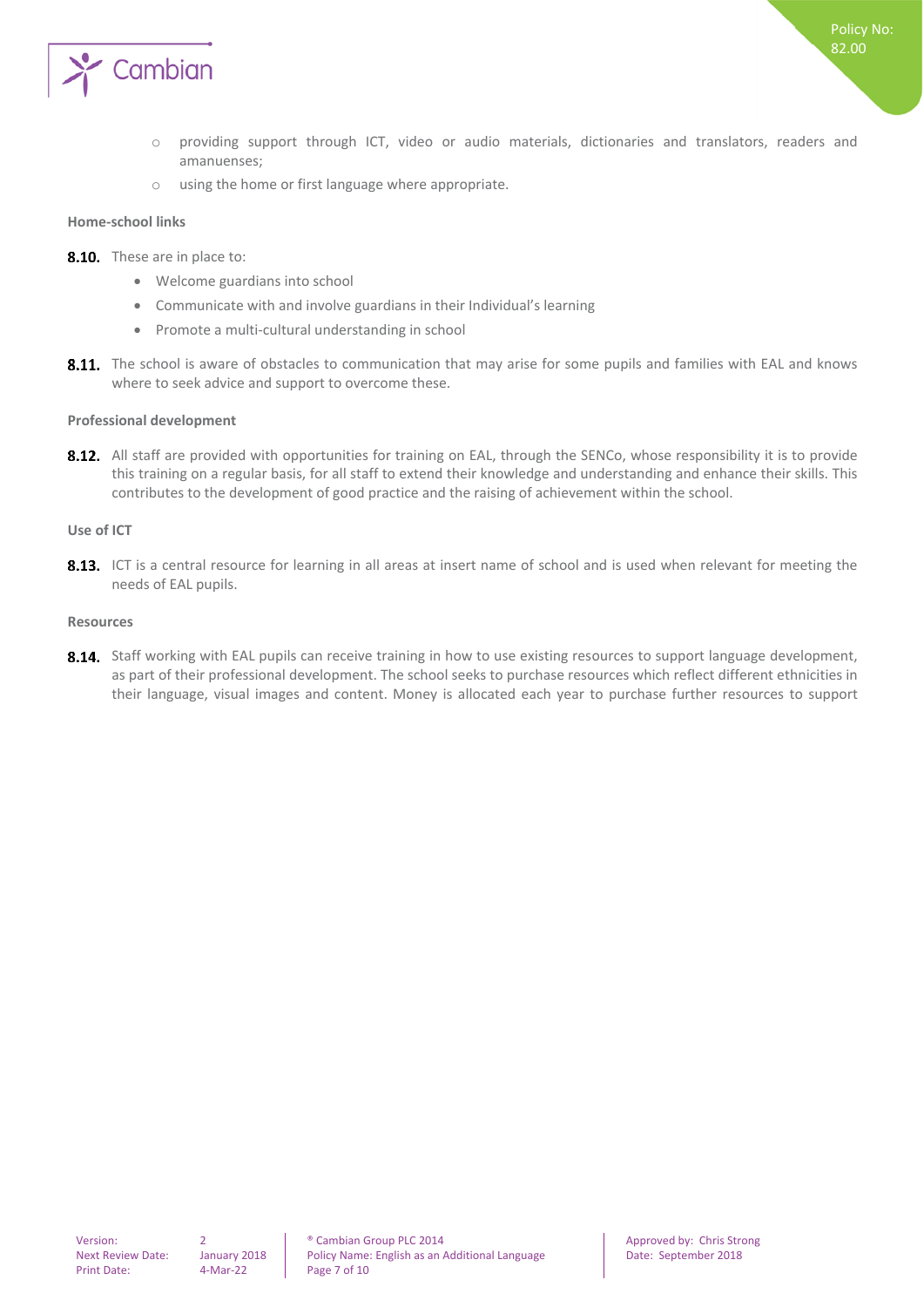

- o providing support through ICT, video or audio materials, dictionaries and translators, readers and amanuenses;
- o using the home or first language where appropriate.

#### <span id="page-6-0"></span>**Home-school links**

- 8.10. These are in place to:
	- Welcome guardians into school
	- Communicate with and involve guardians in their Individual's learning
	- Promote a multi-cultural understanding in school
- 8.11. The school is aware of obstacles to communication that may arise for some pupils and families with EAL and knows where to seek advice and support to overcome these.

#### <span id="page-6-1"></span>**Professional development**

8.12. All staff are provided with opportunities for training on EAL, through the SENCo, whose responsibility it is to provide this training on a regular basis, for all staff to extend their knowledge and understanding and enhance their skills. This contributes to the development of good practice and the raising of achievement within the school.

#### <span id="page-6-2"></span>**Use of ICT**

8.13. ICT is a central resource for learning in all areas at insert name of school and is used when relevant for meeting the needs of EAL pupils.

#### <span id="page-6-3"></span>**Resources**

8.14. Staff working with EAL pupils can receive training in how to use existing resources to support language development, as part of their professional development. The school seeks to purchase resources which reflect different ethnicities in their language, visual images and content. Money is allocated each year to purchase further resources to support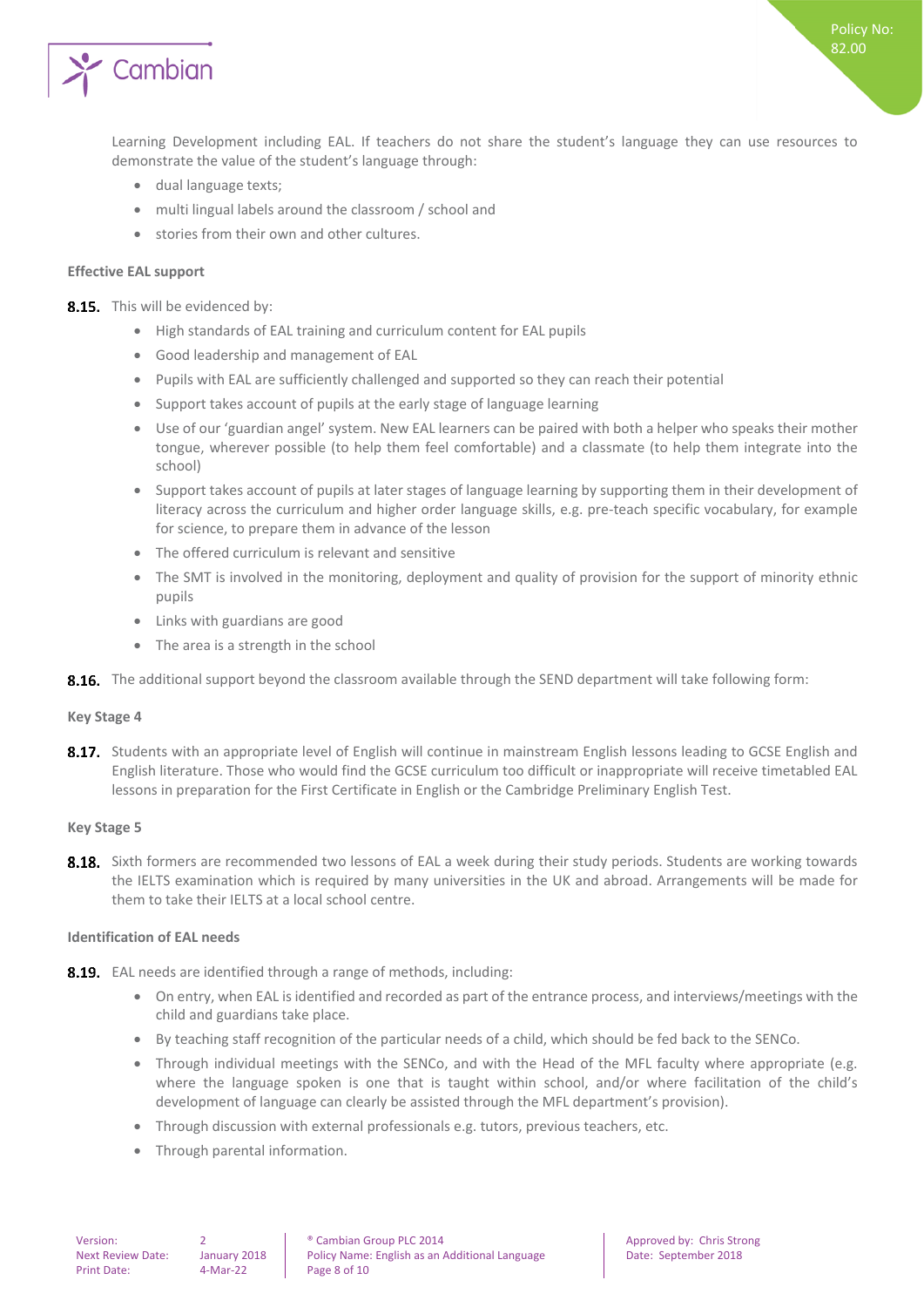

Learning Development including EAL. If teachers do not share the student's language they can use resources to demonstrate the value of the student's language through:

- dual language texts;
- multi lingual labels around the classroom / school and
- stories from their own and other cultures.

#### <span id="page-7-0"></span>**Effective EAL support**

8.15. This will be evidenced by:

- High standards of EAL training and curriculum content for EAL pupils
- Good leadership and management of EAL
- Pupils with EAL are sufficiently challenged and supported so they can reach their potential
- Support takes account of pupils at the early stage of language learning
- Use of our 'guardian angel' system. New EAL learners can be paired with both a helper who speaks their mother tongue, wherever possible (to help them feel comfortable) and a classmate (to help them integrate into the school)
- Support takes account of pupils at later stages of language learning by supporting them in their development of literacy across the curriculum and higher order language skills, e.g. pre-teach specific vocabulary, for example for science, to prepare them in advance of the lesson
- The offered curriculum is relevant and sensitive
- The SMT is involved in the monitoring, deployment and quality of provision for the support of minority ethnic pupils
- Links with guardians are good
- The area is a strength in the school
- <span id="page-7-1"></span>8.16. The additional support beyond the classroom available through the SEND department will take following form:

#### **Key Stage 4**

8.17. Students with an appropriate level of English will continue in mainstream English lessons leading to GCSE English and English literature. Those who would find the GCSE curriculum too difficult or inappropriate will receive timetabled EAL lessons in preparation for the First Certificate in English or the Cambridge Preliminary English Test.

#### <span id="page-7-2"></span>**Key Stage 5**

8.18. Sixth formers are recommended two lessons of EAL a week during their study periods. Students are working towards the IELTS examination which is required by many universities in the UK and abroad. Arrangements will be made for them to take their IELTS at a local school centre.

#### <span id="page-7-3"></span>**Identification of EAL needs**

- 8.19. EAL needs are identified through a range of methods, including:
	- On entry, when EAL is identified and recorded as part of the entrance process, and interviews/meetings with the child and guardians take place.
	- By teaching staff recognition of the particular needs of a child, which should be fed back to the SENCo.
	- $\bullet$  Through individual meetings with the SENCo, and with the Head of the MEL faculty where appropriate (e.g. where the language spoken is one that is taught within school, and/or where facilitation of the child's development of language can clearly be assisted through the MFL department's provision).
	- Through discussion with external professionals e.g. tutors, previous teachers, etc.
	- Through parental information.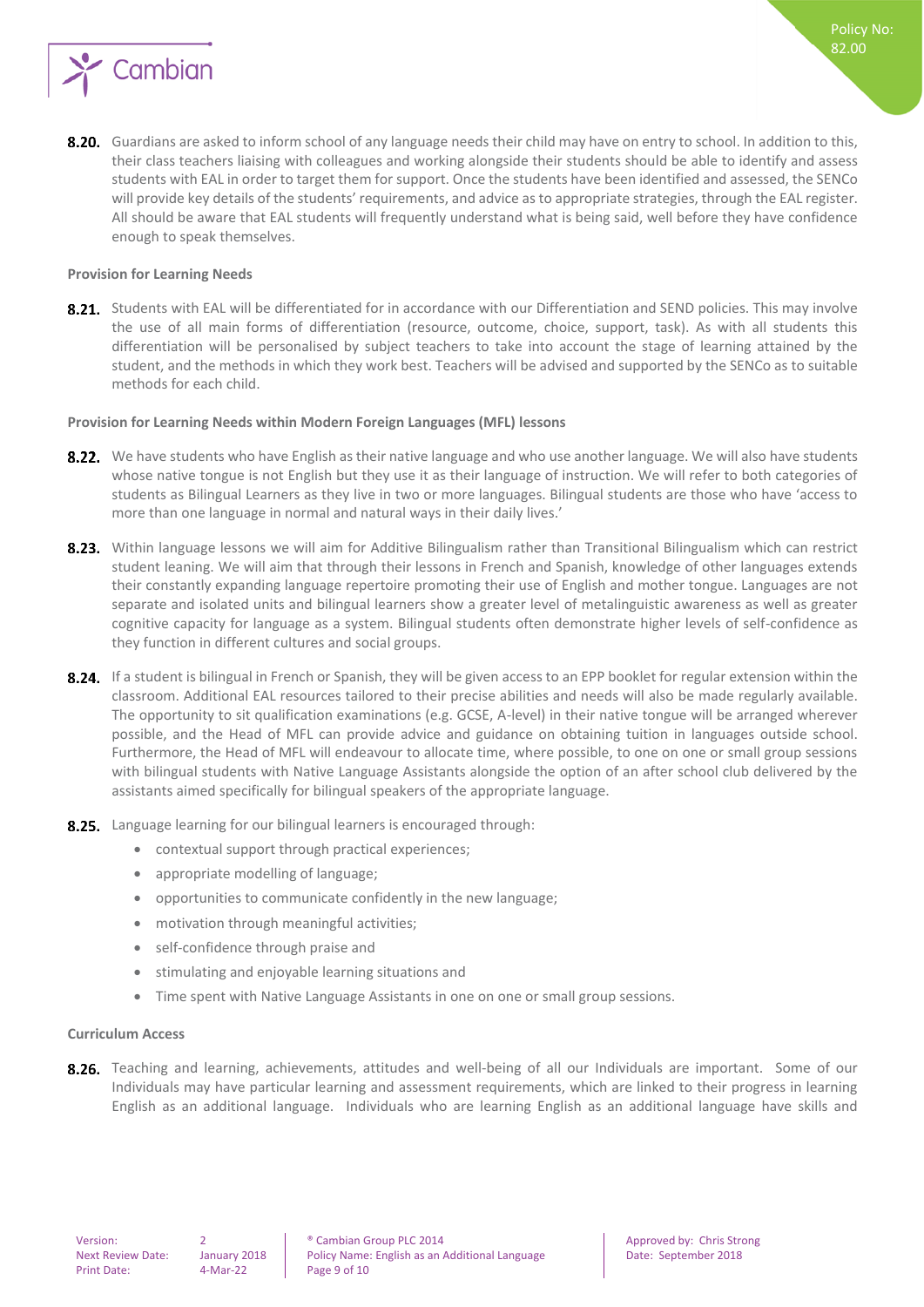

8.20. Guardians are asked to inform school of any language needs their child may have on entry to school. In addition to this, their class teachers liaising with colleagues and working alongside their students should be able to identify and assess students with EAL in order to target them for support. Once the students have been identified and assessed, the SENCo will provide key details of the students' requirements, and advice as to appropriate strategies, through the EAL register. All should be aware that EAL students will frequently understand what is being said, well before they have confidence enough to speak themselves.

#### <span id="page-8-0"></span>**Provision for Learning Needs**

8.21. Students with EAL will be differentiated for in accordance with our Differentiation and SEND policies. This may involve the use of all main forms of differentiation (resource, outcome, choice, support, task). As with all students this differentiation will be personalised by subject teachers to take into account the stage of learning attained by the student, and the methods in which they work best. Teachers will be advised and supported by the SENCo as to suitable methods for each child.

#### <span id="page-8-1"></span>**Provision for Learning Needs within Modern Foreign Languages (MFL) lessons**

- 8.22. We have students who have English as their native language and who use another language. We will also have students whose native tongue is not English but they use it as their language of instruction. We will refer to both categories of students as Bilingual Learners as they live in two or more languages. Bilingual students are those who have 'access to more than one language in normal and natural ways in their daily lives.'
- 8.23. Within language lessons we will aim for Additive Bilingualism rather than Transitional Bilingualism which can restrict student leaning. We will aim that through their lessons in French and Spanish, knowledge of other languages extends their constantly expanding language repertoire promoting their use of English and mother tongue. Languages are not separate and isolated units and bilingual learners show a greater level of metalinguistic awareness as well as greater cognitive capacity for language as a system. Bilingual students often demonstrate higher levels of self-confidence as they function in different cultures and social groups.
- 8.24 If a student is bilingual in French or Spanish, they will be given access to an EPP booklet for regular extension within the classroom. Additional EAL resources tailored to their precise abilities and needs will also be made regularly available. The opportunity to sit qualification examinations (e.g. GCSE, A-level) in their native tongue will be arranged wherever possible, and the Head of MFL can provide advice and guidance on obtaining tuition in languages outside school. Furthermore, the Head of MFL will endeavour to allocate time, where possible, to one on one or small group sessions with bilingual students with Native Language Assistants alongside the option of an after school club delivered by the assistants aimed specifically for bilingual speakers of the appropriate language.
- 8.25. Language learning for our bilingual learners is encouraged through:
	- contextual support through practical experiences;
	- appropriate modelling of language;
	- opportunities to communicate confidently in the new language;
	- motivation through meaningful activities;
	- self-confidence through praise and
	- stimulating and enjoyable learning situations and
	- Time spent with Native Language Assistants in one on one or small group sessions.

#### <span id="page-8-2"></span>**Curriculum Access**

8.26. Teaching and learning, achievements, attitudes and well-being of all our Individuals are important. Some of our Individuals may have particular learning and assessment requirements, which are linked to their progress in learning English as an additional language. Individuals who are learning English as an additional language have skills and